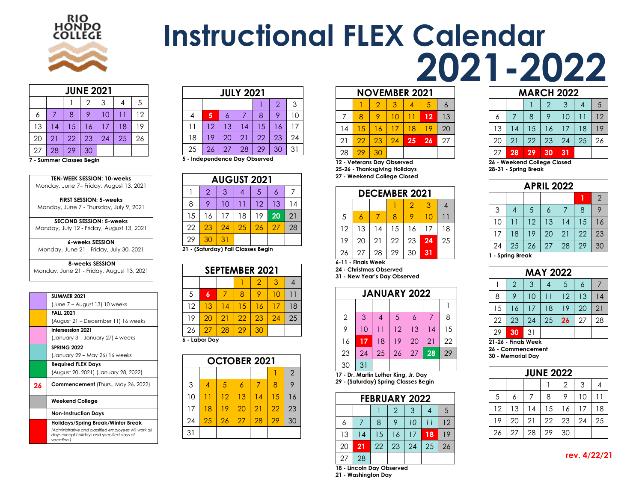

# **Instructional FLEX Calendar 2021-2022**

|    | <b>JUNE 2021</b>              |    |    |    |    |    |  |  |  |  |  |
|----|-------------------------------|----|----|----|----|----|--|--|--|--|--|
|    | $\overline{2}$<br>5<br>3<br>4 |    |    |    |    |    |  |  |  |  |  |
| 6  |                               | 8  | 9  | 10 |    | 12 |  |  |  |  |  |
| 13 | 14                            | 15 | 16 | 17 | 18 | 19 |  |  |  |  |  |
| 20 | 21                            | 22 | 23 | 24 | 25 | 26 |  |  |  |  |  |
| 27 | 28                            | 29 | 30 |    |    |    |  |  |  |  |  |

**- Summer Classes Begin**

**TEN-WEEK SESSION: 10-weeks** Monday, June 7– Friday, August 13, 2021

**FIRST SESSION: 5-weeks** Monday, June 7 - Thursday, July 9, 2021

**SECOND SESSION: 5-weeks** Monday, July 12 - Friday, August 13, 2021

**6-weeks SESSION** Monday, June 21 - Friday, July 30, 2021

**8-weeks SESSION** Monday, June 21 - Friday, August 13, 2021

|    | <b>SUMMER 2021</b>                                                                                                 |
|----|--------------------------------------------------------------------------------------------------------------------|
|    | (June 7 – August 13) 10 weeks                                                                                      |
|    | <b>FALL 2021</b>                                                                                                   |
|    | (August 21 – December 11) 16 weeks                                                                                 |
|    | <b>Intersession 2021</b>                                                                                           |
|    | (January 3 - January 27) 4 weeks                                                                                   |
|    | <b>SPRING 2022</b>                                                                                                 |
|    | (January 29 - May 26) 16 weeks                                                                                     |
|    | <b>Required FLEX Days</b>                                                                                          |
|    | (August 20, 2021) (January 28, 2022)                                                                               |
| 26 | <b>Commencement</b> (Thurs., May 26, 2022)                                                                         |
|    | <b>Weekend College</b>                                                                                             |
|    | <b>Non-Instruction Days</b>                                                                                        |
|    | Holidays/Spring Break/Winter Break                                                                                 |
|    | (Administrative and classified employees will work all<br>days except holidays and specified days of<br>vacation.) |

| <b>JULY 2021</b> |                     |    |    |    |    |    |  |  |  |  |  |
|------------------|---------------------|----|----|----|----|----|--|--|--|--|--|
|                  | $\overline{2}$<br>3 |    |    |    |    |    |  |  |  |  |  |
|                  | 5                   | 6  |    | 8  | 9  | 10 |  |  |  |  |  |
|                  | 12                  | 13 | 14 | 15 | 16 | 17 |  |  |  |  |  |
| 18               | 19                  | 20 | 21 | 22 | 23 | 24 |  |  |  |  |  |
| 25               | 26                  | 27 | 28 | 29 | 30 | 31 |  |  |  |  |  |

**- Independence Day Observed**

|    | <b>AUGUST 2021</b> |    |     |    |    |    |  |  |  |  |
|----|--------------------|----|-----|----|----|----|--|--|--|--|
|    | $\overline{2}$     | 3  |     | 5  | 6  |    |  |  |  |  |
| 8  |                    | 10 | ו ו | 12 | 13 | 14 |  |  |  |  |
| 15 | 16                 | 17 | 18  | 19 | 20 | 21 |  |  |  |  |
| 22 | 23                 | 24 | 25  | 26 | 27 | 28 |  |  |  |  |
| 29 | 30                 | 31 |     |    |    |    |  |  |  |  |

**- (Saturday) Fall Classes Begin**

| <b>SEPTEMBER 2021</b>      |               |    |    |    |    |    |  |  |  |  |
|----------------------------|---------------|----|----|----|----|----|--|--|--|--|
| $\mathcal{P}$<br>3         |               |    |    |    |    |    |  |  |  |  |
| 5                          | 6             |    | 8  |    | 10 |    |  |  |  |  |
| 12                         | 13            | 14 | 15 | 16 | 17 | 18 |  |  |  |  |
| 19                         | 20            | 21 | 22 | 23 | 24 | 25 |  |  |  |  |
| 26<br>27<br>28<br>29<br>30 |               |    |    |    |    |    |  |  |  |  |
|                            | 6 - Labor Day |    |    |    |    |    |  |  |  |  |

| <br>--- | --, |  |
|---------|-----|--|
|         |     |  |
|         |     |  |
|         |     |  |
|         |     |  |

|                | <b>OCTOBER 2021</b> |    |    |    |    |    |  |  |  |  |  |
|----------------|---------------------|----|----|----|----|----|--|--|--|--|--|
| $\overline{2}$ |                     |    |    |    |    |    |  |  |  |  |  |
| 3              |                     | 5  | 6  | 7  | 8  | 9  |  |  |  |  |  |
| 10             |                     | 12 | 13 | 14 | 15 | 16 |  |  |  |  |  |
| 17             | 18                  | 19 | 20 | 21 | 22 | 23 |  |  |  |  |  |
| 24             | 25                  | 26 | 27 | 28 | 29 | 30 |  |  |  |  |  |
| 31             |                     |    |    |    |    |    |  |  |  |  |  |

|             | <b>NOVEMBER 2021</b> |    |    |    |    |    |  |  |  |  |  |
|-------------|----------------------|----|----|----|----|----|--|--|--|--|--|
| 2<br>3<br>5 |                      |    |    |    |    |    |  |  |  |  |  |
|             | 8                    |    | 10 |    | 12 | 13 |  |  |  |  |  |
| 14          | 15                   | 16 | 17 | 18 | 19 | 20 |  |  |  |  |  |
| 21          | 22                   | 23 | 24 | 25 | 26 | 27 |  |  |  |  |  |
| 28          | 29<br>30             |    |    |    |    |    |  |  |  |  |  |

**- Veterans Day Observed**

**25-26 - Thanksgiving Holidays - Weekend College Closed**

| <b>DECEMBER 2021</b> |    |    |    |    |    |    |  |  |  |  |  |
|----------------------|----|----|----|----|----|----|--|--|--|--|--|
| 3<br>2               |    |    |    |    |    |    |  |  |  |  |  |
| 5                    |    |    | 8  |    |    |    |  |  |  |  |  |
| 12                   | 13 | 14 | 15 | 16 | 17 | 18 |  |  |  |  |  |
| 19                   | 20 | 21 | 22 | 23 | 24 | 25 |  |  |  |  |  |
| 26                   | 27 | 28 | 29 | 30 | 31 |    |  |  |  |  |  |

**6-11 - Finals Week**

**- Christmas Observed**

**- New Year's Day Observed**

| <b>JANUARY 2022</b> |    |    |    |    |    |    |  |  |  |  |  |
|---------------------|----|----|----|----|----|----|--|--|--|--|--|
|                     |    |    |    |    |    |    |  |  |  |  |  |
| $\overline{2}$      | 3  |    | 5  | 6  |    | 8  |  |  |  |  |  |
| 9                   | 10 | 11 | 12 | 13 | 14 | 15 |  |  |  |  |  |
| 16                  | 17 | 18 | 19 | 20 | 21 | 22 |  |  |  |  |  |
| 23                  | 24 | 25 | 26 | 27 | 28 | 29 |  |  |  |  |  |
| 30                  | 31 |    |    |    |    |    |  |  |  |  |  |

 **- Dr. Martin Luther King, Jr. Day - (Saturday) Spring Classes Begin**

| <b>FEBRUARY 2022</b> |                          |    |    |    |    |    |  |  |  |  |
|----------------------|--------------------------|----|----|----|----|----|--|--|--|--|
|                      | 5<br>$\overline{2}$<br>3 |    |    |    |    |    |  |  |  |  |
| 6                    |                          | 8  | 9  | 10 |    | 12 |  |  |  |  |
| 13                   | $\overline{14}$          | 15 | 16 | 17 | 18 | 19 |  |  |  |  |
| 20                   | 21                       | 22 | 23 | 24 | 25 | 26 |  |  |  |  |
| 27                   | 28                       |    |    |    |    |    |  |  |  |  |

**- Lincoln Day Observed**

**- Washington Day**

|                          | <b>MARCH 2022</b>       |    |    |    |    |    |  |  |  |  |
|--------------------------|-------------------------|----|----|----|----|----|--|--|--|--|
| $\overline{2}$<br>5<br>3 |                         |    |    |    |    |    |  |  |  |  |
| 6                        |                         | 8  |    | 10 |    | 12 |  |  |  |  |
| 13                       | 14                      | 15 | 16 | 17 | 18 | 19 |  |  |  |  |
| 20                       | 21                      | 22 | 23 | 24 | 25 | 26 |  |  |  |  |
| 27                       | 28                      | 29 | 30 | 31 |    |    |  |  |  |  |
| ົ                        | Waakand Callage Classed |    |    |    |    |    |  |  |  |  |

 **- Weekend College Closed 28-31 - Spring Break**

| <b>APRIL 2022</b> |    |    |    |    |    |                |
|-------------------|----|----|----|----|----|----------------|
|                   |    |    |    |    |    | $\overline{2}$ |
| 3                 | 4  | 5  | 6  | 7  | 8  | 9              |
| 10                | -1 | 12 | 13 | 14 | 15 | 16             |
| 17                | 18 | 19 | 20 | 21 | 22 | 23             |
| 24                | 25 | 26 | 27 | 28 | 29 | 30             |

**- Spring Break**

| <b>MAY 2022</b> |                |    |    |    |    |    |
|-----------------|----------------|----|----|----|----|----|
|                 | $\overline{2}$ | 3  |    | 5  | 6  |    |
| 8               | 9              | 10 |    | 12 | 13 | 14 |
| 15              | 16             | 17 | 18 | 19 | 20 | 21 |
| 22              | 23             | 24 | 25 | 26 | 27 | 28 |
| 29              | 30             | 31 |    |    |    |    |

**21-26 - Finals Week - Commencement - Memorial Day**

|  | o - memonai pay |  |
|--|-----------------|--|
|  |                 |  |

| <b>JUNE 2022</b> |    |    |    |    |    |    |  |
|------------------|----|----|----|----|----|----|--|
|                  |    |    |    | 2  | 3  |    |  |
| 5                | 6  |    | 8  | 9  | 10 |    |  |
| 12               | 13 | 14 | 15 | 16 | 17 | 18 |  |
| 19               | 20 | 21 | 22 | 23 | 24 | 25 |  |
| 26               | 27 | 28 | 29 | 30 |    |    |  |

 **rev. 4/22/21**